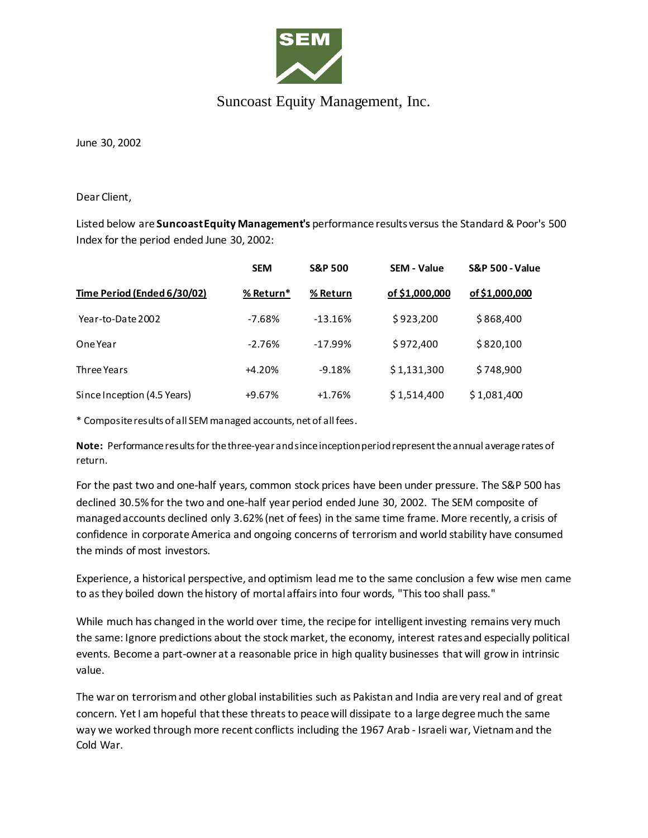

## Suncoast Equity Management, Inc.

June 30, 2002

Dear Client,

Listed below are **Suncoast Equity Management's** performance results versus the Standard & Poor's 500 Index for the period ended June 30, 2002:

| Time Period (Ended 6/30/02) | <b>SEM</b><br>% Return* | <b>S&amp;P 500</b><br>% Return | <b>SEM - Value</b><br>of \$1,000,000 | <b>S&amp;P 500 - Value</b><br>of \$1,000,000 |
|-----------------------------|-------------------------|--------------------------------|--------------------------------------|----------------------------------------------|
|                             |                         |                                |                                      |                                              |
| One Year                    | $-2.76%$                | $-17.99%$                      | \$972,400                            | \$820,100                                    |
| Three Years                 | $+4.20%$                | $-9.18%$                       | \$1,131,300                          | \$748,900                                    |
| Since Inception (4.5 Years) | $+9.67%$                | $+1.76%$                       | \$1,514,400                          | \$1,081,400                                  |

\* Composite results of all SEM managed accounts, net of all fees.

**Note:** Performance results for the three-year and since inception period represent the annual average rates of return.

For the past two and one-half years, common stock prices have been under pressure. The S&P 500 has declined 30.5% for the two and one-half year period ended June 30, 2002. The SEM composite of managed accounts declined only 3.62% (net of fees) in the same time frame. More recently, a crisis of confidence in corporate America and ongoing concerns of terrorism and world stability have consumed the minds of most investors.

Experience, a historical perspective, and optimism lead me to the same conclusion a few wise men came to as they boiled down the history of mortal affairs into four words, "This too shall pass."

While much has changed in the world over time, the recipe for intelligent investing remains very much the same: Ignore predictions about the stock market, the economy, interest rates and especially political events. Become a part-owner at a reasonable price in high quality businesses that will grow in intrinsic value.

The war on terrorism and other global instabilities such as Pakistan and India are very real and of great concern. Yet I am hopeful that these threats to peace will dissipate to a large degree much the same way we worked through more recent conflicts including the 1967 Arab - Israeli war, Vietnam and the Cold War.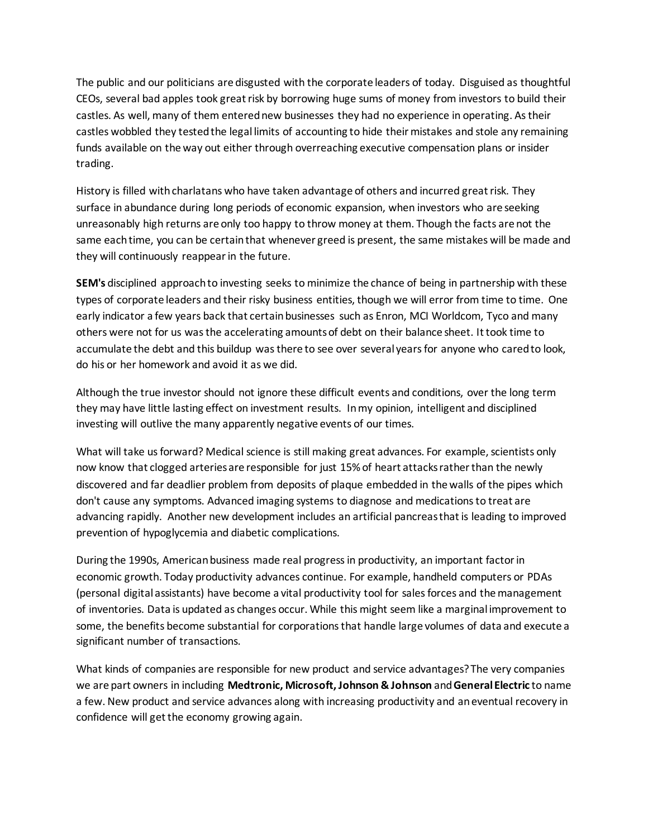The public and our politicians are disgusted with the corporate leaders of today. Disguised as thoughtful CEOs, several bad apples took great risk by borrowing huge sums of money from investors to build their castles. As well, many of them entered new businesses they had no experience in operating. As their castles wobbled they tested the legal limits of accounting to hide their mistakes and stole any remaining funds available on the way out either through overreaching executive compensation plans or insider trading.

History is filled with charlatans who have taken advantage of others and incurred great risk. They surface in abundance during long periods of economic expansion, when investors who are seeking unreasonably high returns are only too happy to throw money at them. Though the facts are not the same each time, you can be certain that whenever greed is present, the same mistakes will be made and they will continuously reappear in the future.

**SEM's** disciplined approach to investing seeks to minimize the chance of being in partnership with these types of corporate leaders and their risky business entities, though we will error from time to time. One early indicator a few years back that certain businesses such as Enron, MCI Worldcom, Tyco and many others were not for us was the accelerating amounts of debt on their balance sheet. It took time to accumulate the debt and this buildup was there to see over several years for anyone who cared to look, do his or her homework and avoid it as we did.

Although the true investor should not ignore these difficult events and conditions, over the long term they may have little lasting effect on investment results. In my opinion, intelligent and disciplined investing will outlive the many apparently negative events of our times.

What will take us forward? Medical science is still making great advances. For example, scientists only now know that clogged arteries are responsible for just 15% of heart attacks rather than the newly discovered and far deadlier problem from deposits of plaque embedded in the walls of the pipes which don't cause any symptoms. Advanced imaging systems to diagnose and medications to treat are advancing rapidly. Another new development includes an artificial pancreas that is leading to improved prevention of hypoglycemia and diabetic complications.

During the 1990s, American business made real progress in productivity, an important factor in economic growth. Today productivity advances continue. For example, handheld computers or PDAs (personal digital assistants) have become a vital productivity tool for sales forces and the management of inventories. Data is updated as changes occur. While this might seem like a marginal improvement to some, the benefits become substantial for corporations that handle large volumes of data and execute a significant number of transactions.

What kinds of companies are responsible for new product and service advantages? The very companies we are part owners in including **Medtronic, Microsoft, Johnson & Johnson** and **General Electric** to name a few. New product and service advances along with increasing productivity and an eventual recovery in confidence will get the economy growing again.